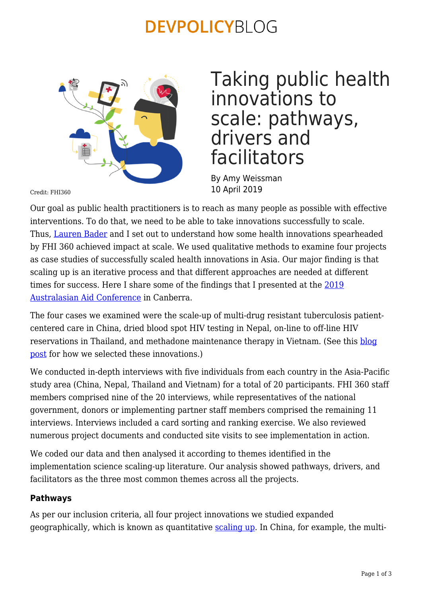### **DEVPOLICYBLOG**



## Taking public health innovations to scale: pathways, drivers and facilitators

By Amy Weissman 10 April 2019

Credit: FHI360

Our goal as public health practitioners is to reach as many people as possible with effective interventions. To do that, we need to be able to take innovations successfully to scale. Thus, [Lauren Bader](https://sites.google.com/view/lauren-bader) and I set out to understand how some health innovations spearheaded by FHI 360 achieved impact at scale. We used qualitative methods to examine four projects as case studies of successfully scaled health innovations in Asia. Our major finding is that scaling up is an iterative process and that different approaches are needed at different times for success. Here I share some of the findings that I presented at the [2019](https://devpolicy.crawford.anu.edu.au/annual-australasian-aid-conference/2019) [Australasian Aid Conference](https://devpolicy.crawford.anu.edu.au/annual-australasian-aid-conference/2019) in Canberra.

The four cases we examined were the scale-up of multi-drug resistant tuberculosis patientcentered care in China, dried blood spot HIV testing in Nepal, on-line to off-line HIV reservations in Thailand, and methadone maintenance therapy in Vietnam. (See this [blog](https://researchforevidence.fhi360.org/innovation-scale-identifying-innovative-health-interventions-better-understand-factors-influencing-adoption-scale) [post](https://researchforevidence.fhi360.org/innovation-scale-identifying-innovative-health-interventions-better-understand-factors-influencing-adoption-scale) for how we selected these innovations.)

We conducted in-depth interviews with five individuals from each country in the Asia-Pacific study area (China, Nepal, Thailand and Vietnam) for a total of 20 participants. FHI 360 staff members comprised nine of the 20 interviews, while representatives of the national government, donors or implementing partner staff members comprised the remaining 11 interviews. Interviews included a card sorting and ranking exercise. We also reviewed numerous project documents and conducted site visits to see implementation in action.

We coded our data and then analysed it according to themes identified in the implementation science scaling-up literature. Our analysis showed pathways, drivers, and facilitators as the three most common themes across all the projects.

#### **Pathways**

As per our inclusion criteria, all four project innovations we studied expanded geographically, which is known as quantitative [scaling up.](https://academic.oup.com/advances/article/6/4/440/4568667) In China, for example, the multi-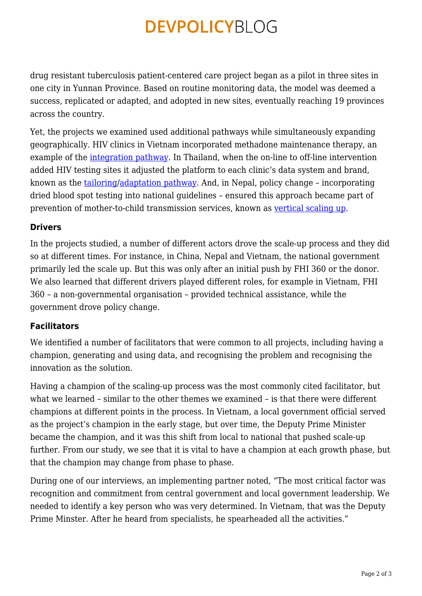# **DEVPOLICYBLOG**

drug resistant tuberculosis patient-centered care project began as a pilot in three sites in one city in Yunnan Province. Based on routine monitoring data, the model was deemed a success, replicated or adapted, and adopted in new sites, eventually reaching 19 provinces across the country.

Yet, the projects we examined used additional pathways while simultaneously expanding geographically. HIV clinics in Vietnam incorporated methadone maintenance therapy, an example of the [integration pathway.](https://journals.plos.org/plosmedicine/article?id=10.1371/journal.pmed.1001049) In Thailand, when the on-line to off-line intervention added HIV testing sites it adjusted the platform to each clinic's data system and brand, known as the [tailoring](https://academic.oup.com/heapol/article/25/2/85/642092)/[adaptation pathway.](https://www.sciencedirect.com/science/article/pii/S0140673613609964?via%3Dihub) And, in Nepal, policy change – incorporating dried blood spot testing into national guidelines – ensured this approach became part of prevention of mother-to-child transmission services, known as [vertical scaling up.](https://www.who.int/immunization/hpv/deliver/scalingup_health_service_delivery_who_2007.pdf)

#### **Drivers**

In the projects studied, a number of different actors drove the scale-up process and they did so at different times. For instance, in China, Nepal and Vietnam, the national government primarily led the scale up. But this was only after an initial push by FHI 360 or the donor. We also learned that different drivers played different roles, for example in Vietnam, FHI 360 – a non-governmental organisation – provided technical assistance, while the government drove policy change.

#### **Facilitators**

We identified a number of facilitators that were common to all projects, including having a champion, generating and using data, and recognising the problem and recognising the innovation as the solution.

Having a champion of the scaling-up process was the most commonly cited facilitator, but what we learned – similar to the other themes we examined – is that there were different champions at different points in the process. In Vietnam, a local government official served as the project's champion in the early stage, but over time, the Deputy Prime Minister became the champion, and it was this shift from local to national that pushed scale-up further. From our study, we see that it is vital to have a champion at each growth phase, but that the champion may change from phase to phase.

During one of our interviews, an implementing partner noted, "The most critical factor was recognition and commitment from central government and local government leadership. We needed to identify a key person who was very determined. In Vietnam, that was the Deputy Prime Minster. After he heard from specialists, he spearheaded all the activities."